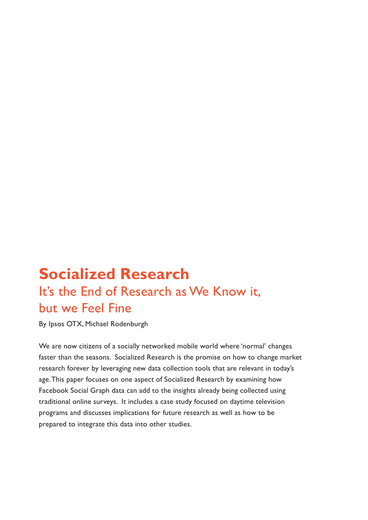# **Socialized Research** It's the End of Research as We Know it, but we Feel Fine

By Ipsos OTX, Michael Rodenburgh

We are now citizens of a socially networked mobile world where 'normal' changes faster than the seasons. Socialized Research is the promise on how to change market research forever by leveraging new data collection tools that are relevant in today's age. This paper focuses on one aspect of Socialized Research by examining how Facebook Social Graph data can add to the insights already being collected using traditional online surveys. It includes a case study focused on daytime television programs and discusses implications for future research as well as how to be prepared to integrate this data into other studies.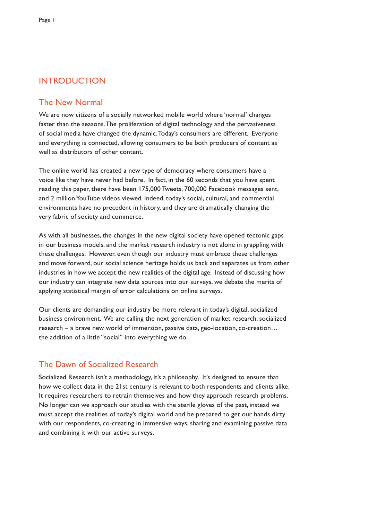# INTRODUCTION

### The New Normal

We are now citizens of a socially networked mobile world where 'normal' changes faster than the seasons. The proliferation of digital technology and the pervasiveness of social media have changed the dynamic. Today's consumers are different. Everyone and everything is connected, allowing consumers to be both producers of content as well as distributors of other content.

The online world has created a new type of democracy where consumers have a voice like they have never had before. In fact, in the 60 seconds that you have spent reading this paper, there have been 175,000 Tweets, 700,000 Facebook messages sent, and 2 million YouTube videos viewed. Indeed, today's social, cultural, and commercial environments have no precedent in history, and they are dramatically changing the very fabric of society and commerce.

As with all businesses, the changes in the new digital society have opened tectonic gaps in our business models, and the market research industry is not alone in grappling with these challenges. However, even though our industry must embrace these challenges and move forward, our social science heritage holds us back and separates us from other industries in how we accept the new realities of the digital age. Instead of discussing how our industry can integrate new data sources into our surveys, we debate the merits of applying statistical margin of error calculations on online surveys.

Our clients are demanding our industry be more relevant in today's digital, socialized business environment. We are calling the next generation of market research, socialized research – a brave new world of immersion, passive data, geo-location, co-creation… the addition of a little "social" into everything we do.

# The Dawn of Socialized Research

Socialized Research isn't a methodology, it's a philosophy. It's designed to ensure that how we collect data in the 21st century is relevant to both respondents and clients alike. It requires researchers to retrain themselves and how they approach research problems. No longer can we approach our studies with the sterile gloves of the past, instead we must accept the realities of today's digital world and be prepared to get our hands dirty with our respondents, co-creating in immersive ways, sharing and examining passive data and combining it with our active surveys.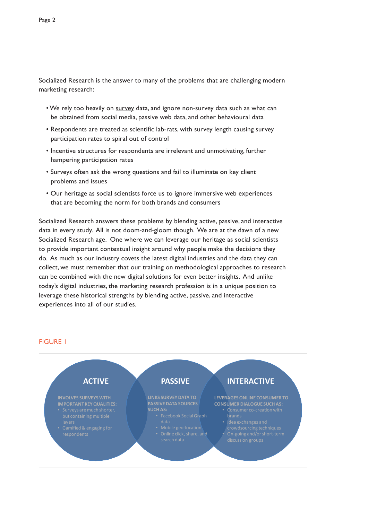- We rely too heavily on survey data, and ignore non-survey data such as what can be obtained from social media, passive web data, and other behavioural data
- Respondents are treated as scientific lab-rats, with survey length causing survey participation rates to spiral out of control
- Incentive structures for respondents are irrelevant and unmotivating, further hampering participation rates
- Surveys often ask the wrong questions and fail to illuminate on key client problems and issues
- Our heritage as social scientists force us to ignore immersive web experiences that are becoming the norm for both brands and consumers

Socialized Research answers these problems by blending active, passive, and interactive data in every study. All is not doom-and-gloom though. We are at the dawn of a new Socialized Research age. One where we can leverage our heritage as social scientists to provide important contextual insight around why people make the decisions they do. As much as our industry covets the latest digital industries and the data they can collect, we must remember that our training on methodological approaches to research can be combined with the new digital solutions for even better insights. And unlike today's digital industries, the marketing research profession is in a unique position to leverage these historical strengths by blending active, passive, and interactive experiences into all of our studies.

### FIGURE 1

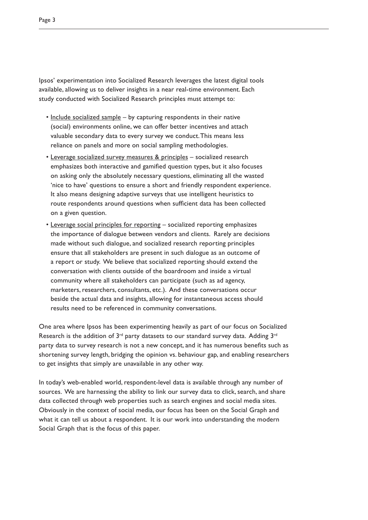Ipsos' experimentation into Socialized Research leverages the latest digital tools available, allowing us to deliver insights in a near real-time environment. Each study conducted with Socialized Research principles must attempt to:

- Include socialized sample by capturing respondents in their native (social) environments online, we can offer better incentives and attach valuable secondary data to every survey we conduct. This means less reliance on panels and more on social sampling methodologies.
- Leverage socialized survey measures & principles socialized research emphasizes both interactive and gamified question types, but it also focuses on asking only the absolutely necessary questions, eliminating all the wasted 'nice to have' questions to ensure a short and friendly respondent experience. It also means designing adaptive surveys that use intelligent heuristics to route respondents around questions when sufficient data has been collected on a given question.
- Leverage social principles for reporting socialized reporting emphasizes the importance of dialogue between vendors and clients. Rarely are decisions made without such dialogue, and socialized research reporting principles ensure that all stakeholders are present in such dialogue as an outcome of a report or study. We believe that socialized reporting should extend the conversation with clients outside of the boardroom and inside a virtual community where all stakeholders can participate (such as ad agency, marketers, researchers, consultants, etc.). And these conversations occur beside the actual data and insights, allowing for instantaneous access should results need to be referenced in community conversations.

One area where Ipsos has been experimenting heavily as part of our focus on Socialized Research is the addition of  $3^{rd}$  party datasets to our standard survey data. Adding  $3^{rd}$ party data to survey research is not a new concept, and it has numerous benefits such as shortening survey length, bridging the opinion vs. behaviour gap, and enabling researchers to get insights that simply are unavailable in any other way.

In today's web-enabled world, respondent-level data is available through any number of sources. We are harnessing the ability to link our survey data to click, search, and share data collected through web properties such as search engines and social media sites. Obviously in the context of social media, our focus has been on the Social Graph and what it can tell us about a respondent. It is our work into understanding the modern Social Graph that is the focus of this paper.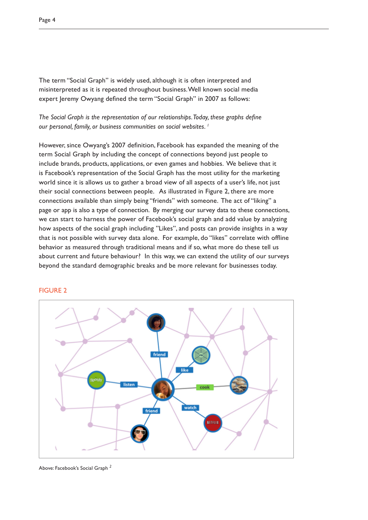The term "Social Graph" is widely used, although it is often interpreted and misinterpreted as it is repeated throughout business. Well known social media expert Jeremy Owyang defined the term "Social Graph" in 2007 as follows:

*The Social Graph is the representation of our relationships. Today, these graphs define our personal, family, or business communities on social websites. 1*

However, since Owyang's 2007 definition, Facebook has expanded the meaning of the term Social Graph by including the concept of connections beyond just people to include brands, products, applications, or even games and hobbies. We believe that it is Facebook's representation of the Social Graph has the most utility for the marketing world since it is allows us to gather a broad view of all aspects of a user's life, not just their social connections between people. As illustrated in Figure 2, there are more connections available than simply being "friends" with someone. The act of "liking" a page or app is also a type of connection. By merging our survey data to these connections, we can start to harness the power of Facebook's social graph and add value by analyzing how aspects of the social graph including "Likes", and posts can provide insights in a way that is not possible with survey data alone. For example, do "likes" correlate with offline behavior as measured through traditional means and if so, what more do these tell us about current and future behaviour? In this way, we can extend the utility of our surveys beyond the standard demographic breaks and be more relevant for businesses today.



### FIGURE 2

Above: Facebook's Social Graph *<sup>2</sup>*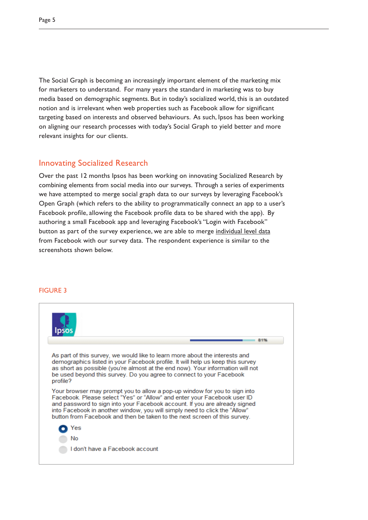The Social Graph is becoming an increasingly important element of the marketing mix for marketers to understand. For many years the standard in marketing was to buy media based on demographic segments. But in today's socialized world, this is an outdated notion and is irrelevant when web properties such as Facebook allow for significant targeting based on interests and observed behaviours. As such, Ipsos has been working on aligning our research processes with today's Social Graph to yield better and more relevant insights for our clients.

# Innovating Socialized Research

Over the past 12 months Ipsos has been working on innovating Socialized Research by combining elements from social media into our surveys. Through a series of experiments we have attempted to merge social graph data to our surveys by leveraging Facebook's Open Graph (which refers to the ability to programmatically connect an app to a user's Facebook profile, allowing the Facebook profile data to be shared with the app). By authoring a small Facebook app and leveraging Facebook's "Login with Facebook" button as part of the survey experience, we are able to merge individual level data from Facebook with our survey data. The respondent experience is similar to the screenshots shown below.

### FIGURE 3

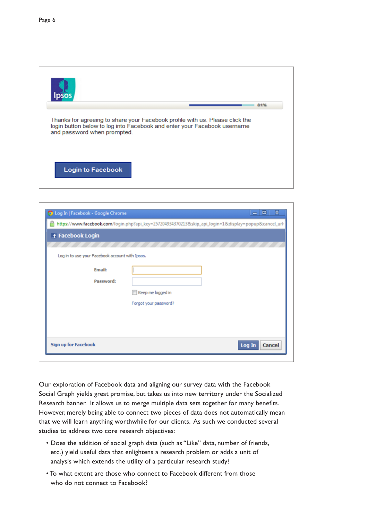

|                                                 | https://www.facebook.com/login.php?api_key=257204934370213&skip_api_login=1&display=popup&cancel_url: |
|-------------------------------------------------|-------------------------------------------------------------------------------------------------------|
| f Facebook Login                                |                                                                                                       |
|                                                 |                                                                                                       |
| Log in to use your Facebook account with Ipsos. |                                                                                                       |
| Email:                                          |                                                                                                       |
| Password:                                       | Keep me logged in                                                                                     |
|                                                 | Forgot your password?                                                                                 |
|                                                 |                                                                                                       |
|                                                 |                                                                                                       |
| <b>Sign up for Facebook</b>                     | Log In<br>Cancel                                                                                      |

Our exploration of Facebook data and aligning our survey data with the Facebook Social Graph yields great promise, but takes us into new territory under the Socialized Research banner. It allows us to merge multiple data sets together for many benefits. However, merely being able to connect two pieces of data does not automatically mean that we will learn anything worthwhile for our clients. As such we conducted several studies to address two core research objectives:

- Does the addition of social graph data (such as "Like" data, number of friends, etc.) yield useful data that enlightens a research problem or adds a unit of analysis which extends the utility of a particular research study?
- To what extent are those who connect to Facebook different from those who do not connect to Facebook?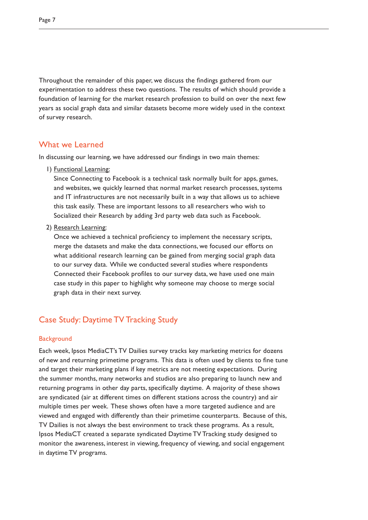Throughout the remainder of this paper, we discuss the findings gathered from our experimentation to address these two questions. The results of which should provide a foundation of learning for the market research profession to build on over the next few years as social graph data and similar datasets become more widely used in the context of survey research.

### What we Learned

In discussing our learning, we have addressed our findings in two main themes:

1) Functional Learning:

Since Connecting to Facebook is a technical task normally built for apps, games, and websites, we quickly learned that normal market research processes, systems and IT infrastructures are not necessarily built in a way that allows us to achieve this task easily. These are important lessons to all researchers who wish to Socialized their Research by adding 3rd party web data such as Facebook.

2) Research Learning:

Once we achieved a technical proficiency to implement the necessary scripts, merge the datasets and make the data connections, we focused our efforts on what additional research learning can be gained from merging social graph data to our survey data. While we conducted several studies where respondents Connected their Facebook profiles to our survey data, we have used one main case study in this paper to highlight why someone may choose to merge social graph data in their next survey.

# Case Study: Daytime TV Tracking Study

### **Background**

Each week, Ipsos MediaCT's TV Dailies survey tracks key marketing metrics for dozens of new and returning primetime programs. This data is often used by clients to fine tune and target their marketing plans if key metrics are not meeting expectations. During the summer months, many networks and studios are also preparing to launch new and returning programs in other day parts, specifically daytime. A majority of these shows are syndicated (air at different times on different stations across the country) and air multiple times per week. These shows often have a more targeted audience and are viewed and engaged with differently than their primetime counterparts. Because of this, TV Dailies is not always the best environment to track these programs. As a result, Ipsos MediaCT created a separate syndicated Daytime TV Tracking study designed to monitor the awareness, interest in viewing, frequency of viewing, and social engagement in daytime TV programs.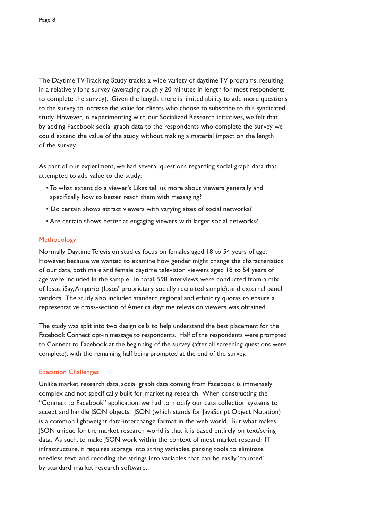The Daytime TV Tracking Study tracks a wide variety of daytime TV programs, resulting in a relatively long survey (averaging roughly 20 minutes in length for most respondents to complete the survey). Given the length, there is limited ability to add more questions to the survey to increase the value for clients who choose to subscribe to this syndicated study. However, in experimenting with our Socialized Research initiatives, we felt that by adding Facebook social graph data to the respondents who complete the survey we could extend the value of the study without making a material impact on the length of the survey.

As part of our experiment, we had several questions regarding social graph data that attempted to add value to the study:

- To what extent do a viewer's Likes tell us more about viewers generally and specifically how to better reach them with messaging?
- Do certain shows attract viewers with varying sizes of social networks?
- Are certain shows better at engaging viewers with larger social networks?

### Methodology

Normally Daytime Television studies focus on females aged 18 to 54 years of age. However, because we wanted to examine how gender might change the characteristics of our data, both male and female daytime television viewers aged 18 to 54 years of age were included in the sample. In total, 598 interviews were conducted from a mix of Ipsos iSay, Ampario (Ipsos' proprietary socially recruited sample), and external panel vendors. The study also included standard regional and ethnicity quotas to ensure a representative cross-section of America daytime television viewers was obtained.

The study was split into two design cells to help understand the best placement for the Facebook Connect opt-in message to respondents. Half of the respondents were prompted to Connect to Facebook at the beginning of the survey (after all screening questions were complete), with the remaining half being prompted at the end of the survey.

### Execution Challenges

Unlike market research data, social graph data coming from Facebook is immensely complex and not specifically built for marketing research. When constructing the "Connect to Facebook" application, we had to modify our data collection systems to accept and handle JSON objects. JSON (which stands for JavaScript Object Notation) is a common lightweight data-interchange format in the web world. But what makes JSON unique for the market research world is that it is based entirely on text/string data. As such, to make JSON work within the context of most market research IT infrastructure, it requires storage into string variables, parsing tools to eliminate needless text, and recoding the strings into variables that can be easily 'counted' by standard market research software.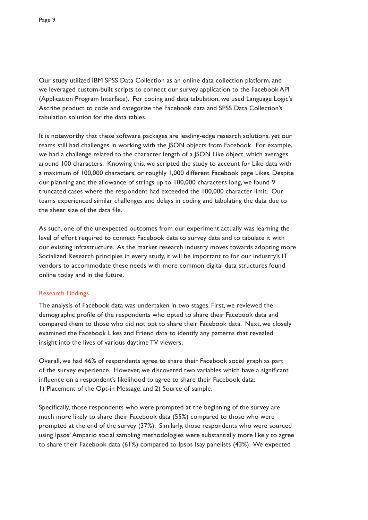Our study utilized IBM SPSS Data Collection as an online data collection platform, and we leveraged custom-built scripts to connect our survey application to the Facebook API (Application Program Interface). For coding and data tabulation, we used Language Logic's Ascribe product to code and categorize the Facebook data and SPSS Data Collection's tabulation solution for the data tables.

It is noteworthy that these software packages are leading-edge research solutions, yet our teams still had challenges in working with the JSON objects from Facebook. For example, we had a challenge related to the character length of a JSON Like object, which averages around 100 characters. Knowing this, we scripted the study to account for Like data with a maximum of 100,000 characters, or roughly 1,000 different Facebook page Likes. Despite our planning and the allowance of strings up to 100,000 characters long, we found 9 truncated cases where the respondent had exceeded the 100,000 character limit. Our teams experienced similar challenges and delays in coding and tabulating the data due to the sheer size of the data file.

As such, one of the unexpected outcomes from our experiment actually was learning the level of effort required to connect Facebook data to survey data and to tabulate it with our existing infrastructure. As the market research industry moves towards adopting more Socialized Research principles in every study, it will be important to for our industry's IT vendors to accommodate these needs with more common digital data structures found online today and in the future.

### Research Findings

The analysis of Facebook data was undertaken in two stages. First, we reviewed the demographic profile of the respondents who opted to share their Facebook data and compared them to those who did not opt to share their Facebook data. Next, we closely examined the Facebook Likes and Friend data to identify any patterns that revealed insight into the lives of various daytime TV viewers.

Overall, we had 46% of respondents agree to share their Facebook social graph as part of the survey experience. However, we discovered two variables which have a significant influence on a respondent's likelihood to agree to share their Facebook data: 1) Placement of the Opt-in Message; and 2) Source of sample.

Specifically, those respondents who were prompted at the beginning of the survey are much more likely to share their Facebook data (55%) compared to those who were prompted at the end of the survey (37%). Similarly, those respondents who were sourced using Ipsos' Ampario social sampling methodologies were substantially more likely to agree to share their Facebook data (61%) compared to Ipsos Isay panelists (43%). We expected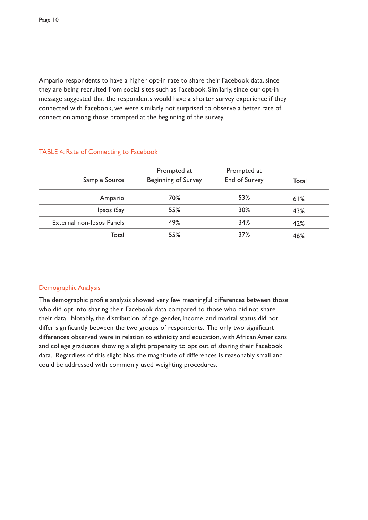Ampario respondents to have a higher opt-in rate to share their Facebook data, since they are being recruited from social sites such as Facebook. Similarly, since our opt-in message suggested that the respondents would have a shorter survey experience if they connected with Facebook, we were similarly not surprised to observe a better rate of connection among those prompted at the beginning of the survey.

| Sample Source             | Prompted at<br><b>Beginning of Survey</b> | Prompted at<br>End of Survey | Total |
|---------------------------|-------------------------------------------|------------------------------|-------|
| Ampario                   | 70%                                       | 53%                          | 61%   |
| Ipsos iSay                | 55%                                       | 30%                          | 43%   |
| External non-Ipsos Panels | 49%                                       | 34%                          | 42%   |
| Total                     | 55%                                       | 37%                          | 46%   |

### TABLE 4: Rate of Connecting to Facebook

### Demographic Analysis

The demographic profile analysis showed very few meaningful differences between those who did opt into sharing their Facebook data compared to those who did not share their data. Notably, the distribution of age, gender, income, and marital status did not differ significantly between the two groups of respondents. The only two significant differences observed were in relation to ethnicity and education, with African Americans and college graduates showing a slight propensity to opt out of sharing their Facebook data. Regardless of this slight bias, the magnitude of differences is reasonably small and could be addressed with commonly used weighting procedures.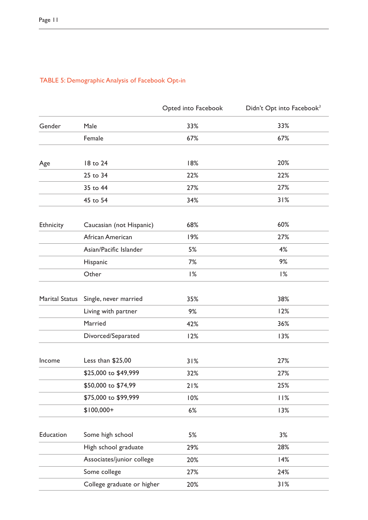|                |                            | Opted into Facebook | Didn't Opt into Facebook <sup>3</sup> |
|----------------|----------------------------|---------------------|---------------------------------------|
| Gender         | Male                       | 33%                 | 33%                                   |
|                | Female                     | 67%                 | 67%                                   |
|                |                            |                     |                                       |
| Age            | 18 to 24                   | 18%                 | 20%                                   |
|                | 25 to 34                   | 22%                 | 22%                                   |
|                | 35 to 44                   | 27%                 | 27%                                   |
|                | 45 to 54                   | 34%                 | 31%                                   |
| Ethnicity      | Caucasian (not Hispanic)   | 68%                 | 60%                                   |
|                | African American           | 19%                 | 27%                                   |
|                | Asian/Pacific Islander     | 5%                  | 4%                                    |
|                | Hispanic                   | 7%                  | 9%                                    |
|                | Other                      | 1%                  | 1%                                    |
|                |                            |                     |                                       |
| Marital Status | Single, never married      | 35%                 | 38%                                   |
|                | Living with partner        | 9%                  | 12%                                   |
|                | Married                    | 42%                 | 36%                                   |
|                | Divorced/Separated         | 12%                 | 13%                                   |
| Income         | Less than \$25,00          | 31%                 | 27%                                   |
|                | \$25,000 to \$49,999       | 32%                 | 27%                                   |
|                | \$50,000 to \$74,99        | 21%                 | 25%                                   |
|                | \$75,000 to \$99,999       | 10%                 | 11%                                   |
|                | $$100,000+$                | 6%                  | 13%                                   |
|                |                            |                     |                                       |
| Education      | Some high school           | 5%                  | 3%                                    |
|                | High school graduate       | 29%                 | 28%                                   |
|                | Associates/junior college  | 20%                 | 14%                                   |
|                | Some college               | 27%                 | 24%                                   |
|                | College graduate or higher | 20%                 | 31%                                   |

# TABLE 5: Demographic Analysis of Facebook Opt-in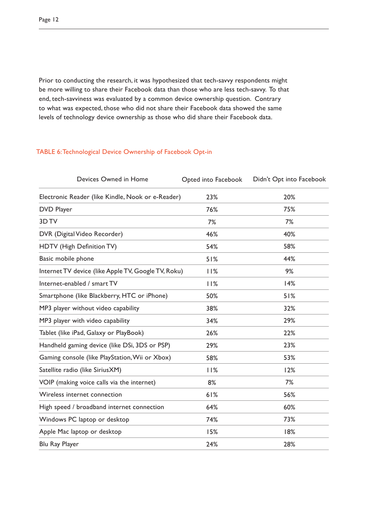Prior to conducting the research, it was hypothesized that tech-savvy respondents might be more willing to share their Facebook data than those who are less tech-savvy. To that end, tech-savviness was evaluated by a common device ownership question. Contrary to what was expected, those who did not share their Facebook data showed the same levels of technology device ownership as those who did share their Facebook data.

### TABLE 6: Technological Device Ownership of Facebook Opt-in

| Devices Owned in Home                               | Opted into Facebook | Didn't Opt into Facebook |
|-----------------------------------------------------|---------------------|--------------------------|
| Electronic Reader (like Kindle, Nook or e-Reader)   | 23%                 | 20%                      |
| <b>DVD Player</b>                                   | 76%                 | 75%                      |
| 3D TV                                               | 7%                  | 7%                       |
| DVR (Digital Video Recorder)                        | 46%                 | 40%                      |
| HDTV (High Definition TV)                           | 54%                 | 58%                      |
| Basic mobile phone                                  | 51%                 | 44%                      |
| Internet TV device (like Apple TV, Google TV, Roku) | 11%                 | 9%                       |
| Internet-enabled / smart TV                         | 11%                 | 14%                      |
| Smartphone (like Blackberry, HTC or iPhone)         | 50%                 | 51%                      |
| MP3 player without video capability                 | 38%                 | 32%                      |
| MP3 player with video capability                    | 34%                 | 29%                      |
| Tablet (like iPad, Galaxy or PlayBook)              | 26%                 | 22%                      |
| Handheld gaming device (like DSi, 3DS or PSP)       | 29%                 | 23%                      |
| Gaming console (like PlayStation, Wii or Xbox)      | 58%                 | 53%                      |
| Satellite radio (like SiriusXM)                     | 11%                 | 12%                      |
| VOIP (making voice calls via the internet)          | 8%                  | 7%                       |
| Wireless internet connection                        | 61%                 | 56%                      |
| High speed / broadband internet connection          | 64%                 | 60%                      |
| Windows PC laptop or desktop                        | 74%                 | 73%                      |
| Apple Mac laptop or desktop                         | 15%                 | 18%                      |
| Blu Ray Player                                      | 24%                 | 28%                      |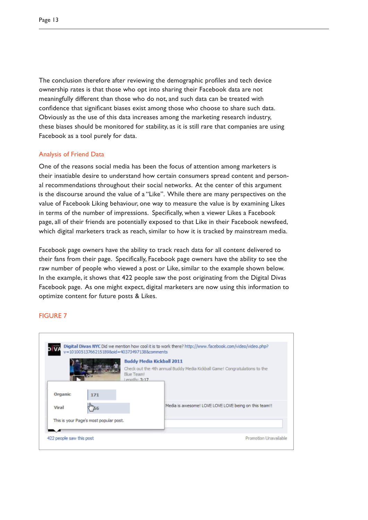The conclusion therefore after reviewing the demographic profiles and tech device ownership rates is that those who opt into sharing their Facebook data are not meaningfully different than those who do not, and such data can be treated with confidence that significant biases exist among those who choose to share such data. Obviously as the use of this data increases among the marketing research industry, these biases should be monitored for stability, as it is still rare that companies are using Facebook as a tool purely for data.

### Analysis of Friend Data

One of the reasons social media has been the focus of attention among marketers is their insatiable desire to understand how certain consumers spread content and personal recommendations throughout their social networks. At the center of this argument is the discourse around the value of a "Like". While there are many perspectives on the value of Facebook Liking behaviour, one way to measure the value is by examining Likes in terms of the number of impressions. Specifically, when a viewer Likes a Facebook page, all of their friends are potentially exposed to that Like in their Facebook newsfeed, which digital marketers track as reach, similar to how it is tracked by mainstream media.

Facebook page owners have the ability to track reach data for all content delivered to their fans from their page. Specifically, Facebook page owners have the ability to see the raw number of people who viewed a post or Like, similar to the example shown below. In the example, it shows that 422 people saw the post originating from the Digital Divas Facebook page. As one might expect, digital marketers are now using this information to optimize content for future posts & Likes.

### FIGURE 7

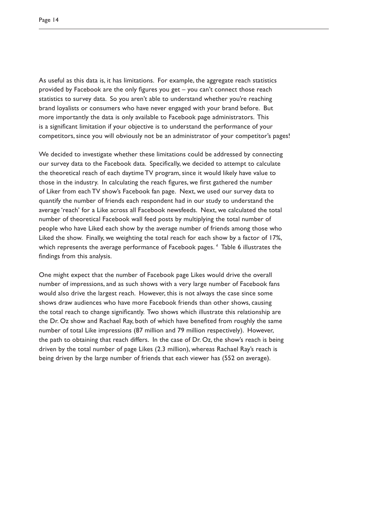As useful as this data is, it has limitations. For example, the aggregate reach statistics provided by Facebook are the only figures you get – you can't connect those reach statistics to survey data. So you aren't able to understand whether you're reaching brand loyalists or consumers who have never engaged with your brand before. But more importantly the data is only available to Facebook page administrators. This is a significant limitation if your objective is to understand the performance of your competitors, since you will obviously not be an administrator of your competitor's pages!

We decided to investigate whether these limitations could be addressed by connecting our survey data to the Facebook data. Specifically, we decided to attempt to calculate the theoretical reach of each daytime TV program, since it would likely have value to those in the industry. In calculating the reach figures, we first gathered the number of Liker from each TV show's Facebook fan page. Next, we used our survey data to quantify the number of friends each respondent had in our study to understand the average 'reach' for a Like across all Facebook newsfeeds. Next, we calculated the total number of theoretical Facebook wall feed posts by multiplying the total number of people who have Liked each show by the average number of friends among those who Liked the show. Finally, we weighting the total reach for each show by a factor of 17%, which represents the average performance of Facebook pages. *<sup>4</sup>* Table 6 illustrates the findings from this analysis.

One might expect that the number of Facebook page Likes would drive the overall number of impressions, and as such shows with a very large number of Facebook fans would also drive the largest reach. However, this is not always the case since some shows draw audiences who have more Facebook friends than other shows, causing the total reach to change significantly. Two shows which illustrate this relationship are the Dr. Oz show and Rachael Ray, both of which have benefited from roughly the same number of total Like impressions (87 million and 79 million respectively). However, the path to obtaining that reach differs. In the case of Dr. Oz, the show's reach is being driven by the total number of page Likes (2.3 million), whereas Rachael Ray's reach is being driven by the large number of friends that each viewer has (552 on average).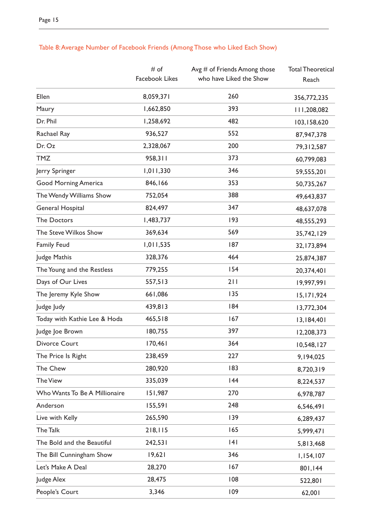|                               | # of           | Avg $#$ of Friends Among those | <b>Total Theoretical</b> |
|-------------------------------|----------------|--------------------------------|--------------------------|
|                               | Facebook Likes | who have Liked the Show        | Reach                    |
| Ellen                         | 8,059,371      | 260                            | 356,772,235              |
| Maury                         | 1,662,850      | 393                            | 111,208,082              |
| Dr. Phil                      | 1,258,692      | 482                            | 103,158,620              |
| Rachael Ray                   | 936,527        | 552                            | 87,947,378               |
| Dr. Oz                        | 2,328,067      | 200                            | 79,312,587               |
| <b>TMZ</b>                    | 958,311        | 373                            | 60,799,083               |
| Jerry Springer                | 1,011,330      | 346                            | 59,555,201               |
| <b>Good Morning America</b>   | 846,166        | 353                            | 50,735,267               |
| The Wendy Williams Show       | 752,054        | 388                            | 49,643,837               |
| General Hospital              | 824,497        | 347                            | 48,637,078               |
| <b>The Doctors</b>            | 1,483,737      | 193                            | 48,555,293               |
| The Steve Wilkos Show         | 369,634        | 569                            | 35,742,129               |
| <b>Family Feud</b>            | 1,011,535      | 187                            | 32, 173, 894             |
| Judge Mathis                  | 328,376        | 464                            | 25,874,387               |
| The Young and the Restless    | 779,255        | 154                            | 20,374,401               |
| Days of Our Lives             | 557,513        | 211                            | 19,997,991               |
| The Jeremy Kyle Show          | 661,086        | 135                            | 15, 171, 924             |
| Judge Judy                    | 439,813        | 184                            | 13,772,304               |
| Today with Kathie Lee & Hoda  | 465,518        | 167                            | 13,184,401               |
| Judge Joe Brown               | 180,755        | 397                            | 12,208,373               |
| Divorce Court                 | 170,461        | 364                            | 10,548,127               |
| The Price Is Right            | 238,459        | 227                            | 9,194,025                |
| The Chew                      | 280,920        | 183                            | 8,720,319                |
| <b>The View</b>               | 335,039        | 144                            | 8,224,537                |
| Who Wants To Be A Millionaire | 151,987        | 270                            | 6,978,787                |
| Anderson                      | 155,591        | 248                            | 6,546,491                |
| Live with Kelly               | 265,590        | 139                            | 6,289,437                |
| The Talk                      | 218,115        | 165                            | 5,999,471                |
| The Bold and the Beautiful    | 242,531        | 4                              | 5,813,468                |
| The Bill Cunningham Show      | 19,621         | 346                            | 1,154,107                |
| Let's Make A Deal             | 28,270         | 167                            | 801,144                  |
| Judge Alex                    | 28,475         | 108                            | 522,801                  |
| People's Court                | 3,346          | 109                            | 62,001                   |

# Table 8: Average Number of Facebook Friends (Among Those who Liked Each Show)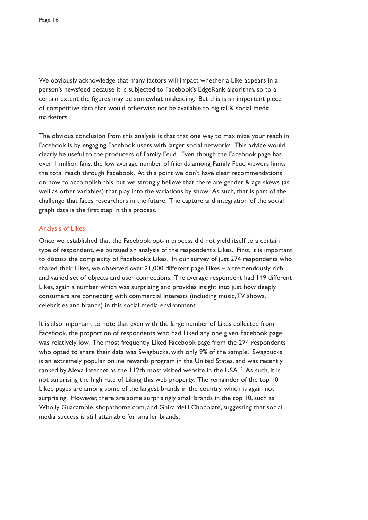We obviously acknowledge that many factors will impact whether a Like appears in a person's newsfeed because it is subjected to Facebook's EdgeRank algorithm, so to a certain extent the figures may be somewhat misleading. But this is an important piece of competitive data that would otherwise not be available to digital & social media marketers.

The obvious conclusion from this analysis is that that one way to maximize your reach in Facebook is by engaging Facebook users with larger social networks. This advice would clearly be useful to the producers of Family Feud. Even though the Facebook page has over 1 million fans, the low average number of friends among Family Feud viewers limits the total reach through Facebook. At this point we don't have clear recommendations on how to accomplish this, but we strongly believe that there are gender & age skews (as well as other variables) that play into the variations by show. As such, that is part of the challenge that faces researchers in the future. The capture and integration of the social graph data is the first step in this process.

### Analysis of Likes

Once we established that the Facebook opt-in process did not yield itself to a certain type of respondent, we pursued an analysis of the respondent's Likes. First, it is important to discuss the complexity of Facebook's Likes. In our survey of just 274 respondents who shared their Likes, we observed over 21,000 different page Likes – a tremendously rich and varied set of objects and user connections. The average respondent had 149 different Likes, again a number which was surprising and provides insight into just how deeply consumers are connecting with commercial interests (including music, TV shows, celebrities and brands) in this social media environment.

It is also important to note that even with the large number of Likes collected from Facebook, the proportion of respondents who had Liked any one given Facebook page was relatively low. The most frequently Liked Facebook page from the 274 respondents who opted to share their data was Swagbucks, with only 9% of the sample. Swagbucks is an extremely popular online rewards program in the United States, and was recently ranked by Alexa Internet as the 112th most visited website in the USA.<sup>5</sup> As such, it is not surprising the high rate of Liking this web property. The remainder of the top 10 Liked pages are among some of the largest brands in the country, which is again not surprising. However, there are some surprisingly small brands in the top 10, such as Wholly Guacamole, shopathome.com, and Ghirardelli Chocolate, suggesting that social media success is still attainable for smaller brands.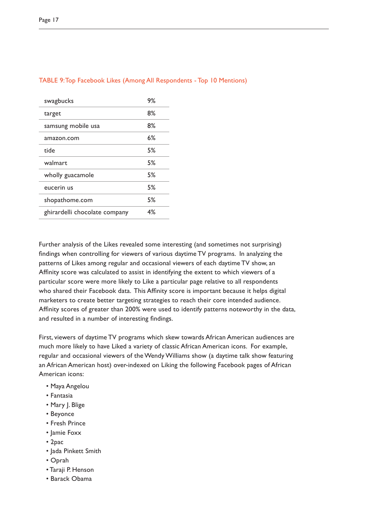| swagbucks                     | 9% |
|-------------------------------|----|
| target                        | 8% |
| samsung mobile usa            | 8% |
| amazon.com                    | 6% |
| tide                          | 5% |
| walmart                       | 5% |
| wholly guacamole              | 5% |
| eucerin us                    | 5% |
| shopathome.com                | 5% |
| ghirardelli chocolate company | 4% |
|                               |    |

### TABLE 9: Top Facebook Likes (Among All Respondents - Top 10 Mentions)

Further analysis of the Likes revealed some interesting (and sometimes not surprising) findings when controlling for viewers of various daytime TV programs. In analyzing the patterns of Likes among regular and occasional viewers of each daytime TV show, an Affinity score was calculated to assist in identifying the extent to which viewers of a particular score were more likely to Like a particular page relative to all respondents who shared their Facebook data. This Affinity score is important because it helps digital marketers to create better targeting strategies to reach their core intended audience. Affinity scores of greater than 200% were used to identify patterns noteworthy in the data, and resulted in a number of interesting findings.

First, viewers of daytime TV programs which skew towards African American audiences are much more likely to have Liked a variety of classic African American icons. For example, regular and occasional viewers of the Wendy Williams show (a daytime talk show featuring an African American host) over-indexed on Liking the following Facebook pages of African American icons:

- Maya Angelou
- Fantasia
- Mary J. Blige
- Beyonce
- Fresh Prince
- Jamie Foxx
- 2pac
- Jada Pinkett Smith
- Oprah
- Taraji P. Henson
- Barack Obama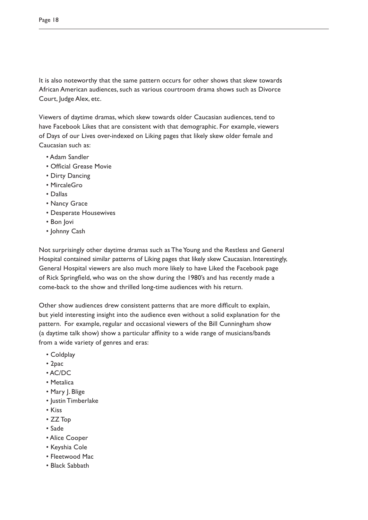It is also noteworthy that the same pattern occurs for other shows that skew towards African American audiences, such as various courtroom drama shows such as Divorce Court, Judge Alex, etc.

Viewers of daytime dramas, which skew towards older Caucasian audiences, tend to have Facebook Likes that are consistent with that demographic. For example, viewers of Days of our Lives over-indexed on Liking pages that likely skew older female and Caucasian such as:

- Adam Sandler
- Official Grease Movie
- Dirty Dancing
- MircaleGro
- Dallas
- Nancy Grace
- Desperate Housewives
- Bon Jovi
- Johnny Cash

Not surprisingly other daytime dramas such as The Young and the Restless and General Hospital contained similar patterns of Liking pages that likely skew Caucasian. Interestingly, General Hospital viewers are also much more likely to have Liked the Facebook page of Rick Springfield, who was on the show during the 1980's and has recently made a come-back to the show and thrilled long-time audiences with his return.

Other show audiences drew consistent patterns that are more difficult to explain, but yield interesting insight into the audience even without a solid explanation for the pattern. For example, regular and occasional viewers of the Bill Cunningham show (a daytime talk show) show a particular affinity to a wide range of musicians/bands from a wide variety of genres and eras:

- Coldplay
- 2pac
- AC/DC
- Metalica
- Mary J. Blige
- Justin Timberlake
- Kiss
- ZZ Top
- Sade
- Alice Cooper
- Keyshia Cole
- Fleetwood Mac
- Black Sabbath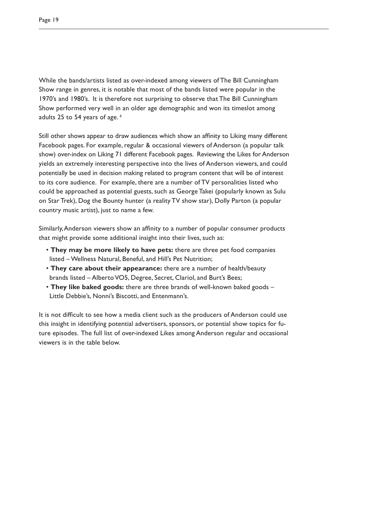While the bands/artists listed as over-indexed among viewers of The Bill Cunningham Show range in genres, it is notable that most of the bands listed were popular in the 1970's and 1980's. It is therefore not surprising to observe that The Bill Cunningham Show performed very well in an older age demographic and won its timeslot among adults 25 to 54 years of age. *<sup>6</sup>*

Still other shows appear to draw audiences which show an affinity to Liking many different Facebook pages. For example, regular & occasional viewers of Anderson (a popular talk show) over-index on Liking 71 different Facebook pages. Reviewing the Likes for Anderson yields an extremely interesting perspective into the lives of Anderson viewers, and could potentially be used in decision making related to program content that will be of interest to its core audience. For example, there are a number of TV personalities listed who could be approached as potential guests, such as George Takei (popularly known as Sulu on Star Trek), Dog the Bounty hunter (a reality TV show star), Dolly Parton (a popular country music artist), just to name a few.

Similarly, Anderson viewers show an affinity to a number of popular consumer products that might provide some additional insight into their lives, such as:

- **They may be more likely to have pets:** there are three pet food companies listed – Wellness Natural, Beneful, and Hill's Pet Nutrition;
- **They care about their appearance:** there are a number of health/beauty brands listed – Alberto VO5, Degree, Secret, Clariol, and Burt's Bees;
- **They like baked goods:** there are three brands of well-known baked goods Little Debbie's, Nonni's Biscotti, and Entenmann's.

It is not difficult to see how a media client such as the producers of Anderson could use this insight in identifying potential advertisers, sponsors, or potential show topics for future episodes. The full list of over-indexed Likes among Anderson regular and occasional viewers is in the table below.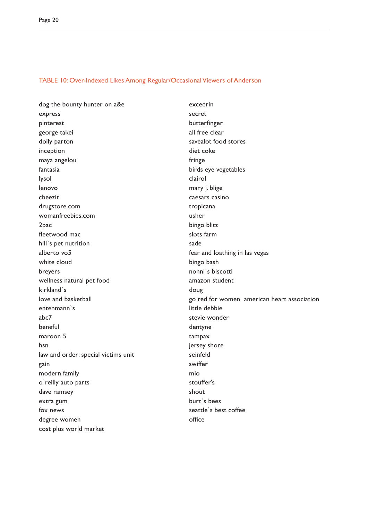### TABLE 10: Over-Indexed Likes Among Regular/Occasional Viewers of Anderson

dog the bounty hunter on a&e express pinterest george takei dolly parton inception maya angelou fantasia lysol lenovo cheezit drugstore.com womanfreebies.com 2pac fleetwood mac hill`s pet nutrition alberto vo5 white cloud breyers wellness natural pet food kirkland`s love and basketball entenmann`s abc7 beneful maroon 5 hsn law and order: special victims unit gain modern family o`reilly auto parts dave ramsey extra gum fox news degree women cost plus world market

excedrin secret butterfinger all free clear savealot food stores diet coke fringe birds eye vegetables clairol mary j. blige caesars casino tropicana usher bingo blitz slots farm sade fear and loathing in las vegas bingo bash nonni`s biscotti amazon student doug go red for women american heart association little debbie stevie wonder dentyne tampax jersey shore seinfeld swiffer mio stouffer's shout burt`s bees seattle`s best coffee office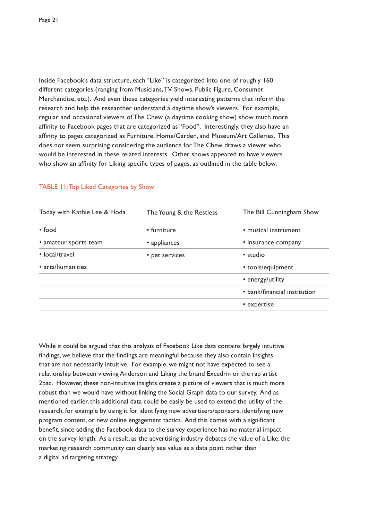Inside Facebook's data structure, each "Like" is categorized into one of roughly 160 different categories (ranging from Musicians, TV Shows, Public Figure, Consumer Merchandise, etc.). And even these categories yield interesting patterns that inform the research and help the researcher understand a daytime show's viewers. For example, regular and occasional viewers of The Chew (a daytime cooking show) show much more affinity to Facebook pages that are categorized as "Food". Interestingly, they also have an affinity to pages categorized as Furniture, Home/Garden, and Museum/Art Galleries. This does not seem surprising considering the audience for The Chew draws a viewer who would be interested in these related interests. Other shows appeared to have viewers who show an affinity for Liking specific types of pages, as outlined in the table below.

| Today with Kathie Lee & Hoda | The Young & the Restless | The Bill Cunningham Show     |
|------------------------------|--------------------------|------------------------------|
| • food                       | • furniture              | · musical instrument         |
| · amateur sports team        | • appliances             | • insurance company          |
| • local/travel               | • pet services           | • studio                     |
| • arts/humanities            |                          | • tools/equipment            |
|                              |                          | • energy/utility             |
|                              |                          | • bank/financial institution |
|                              |                          | • expertise                  |
|                              |                          |                              |

### TABLE 11: Top Liked Categories by Show

While it could be argued that this analysis of Facebook Like data contains largely intuitive findings, we believe that the findings are meaningful because they also contain insights that are not necessarily intuitive. For example, we might not have expected to see a relationship between viewing Anderson and Liking the brand Excedrin or the rap artist 2pac. However, these non-intuitive insights create a picture of viewers that is much more robust than we would have without linking the Social Graph data to our survey. And as mentioned earlier, this additional data could be easily be used to extend the utility of the research, for example by using it for identifying new advertisers/sponsors, identifying new program content, or new online engagement tactics. And this comes with a significant benefit, since adding the Facebook data to the survey experience has no material impact on the survey length. As a result, as the advertising industry debates the value of a Like, the marketing research community can clearly see value as a data point rather than a digital ad targeting strategy.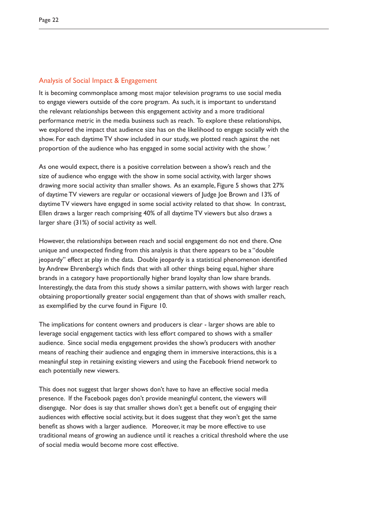### Analysis of Social Impact & Engagement

It is becoming commonplace among most major television programs to use social media to engage viewers outside of the core program. As such, it is important to understand the relevant relationships between this engagement activity and a more traditional performance metric in the media business such as reach. To explore these relationships, we explored the impact that audience size has on the likelihood to engage socially with the show. For each daytime TV show included in our study, we plotted reach against the net proportion of the audience who has engaged in some social activity with the show. *<sup>7</sup>*

As one would expect, there is a positive correlation between a show's reach and the size of audience who engage with the show in some social activity, with larger shows drawing more social activity than smaller shows. As an example, Figure 5 shows that 27% of daytime TV viewers are regular or occasional viewers of Judge Joe Brown and 13% of daytime TV viewers have engaged in some social activity related to that show. In contrast, Ellen draws a larger reach comprising 40% of all daytime TV viewers but also draws a larger share (31%) of social activity as well.

However, the relationships between reach and social engagement do not end there. One unique and unexpected finding from this analysis is that there appears to be a "double jeopardy" effect at play in the data. Double jeopardy is a statistical phenomenon identified by Andrew Ehrenberg's which finds that with all other things being equal, higher share brands in a category have proportionally higher brand loyalty than low share brands. Interestingly, the data from this study shows a similar pattern, with shows with larger reach obtaining proportionally greater social engagement than that of shows with smaller reach, as exemplified by the curve found in Figure 10.

The implications for content owners and producers is clear - larger shows are able to leverage social engagement tactics with less effort compared to shows with a smaller audience. Since social media engagement provides the show's producers with another means of reaching their audience and engaging them in immersive interactions, this is a meaningful step in retaining existing viewers and using the Facebook friend network to each potentially new viewers.

This does not suggest that larger shows don't have to have an effective social media presence. If the Facebook pages don't provide meaningful content, the viewers will disengage. Nor does is say that smaller shows don't get a benefit out of engaging their audiences with effective social activity, but it does suggest that they won't get the same benefit as shows with a larger audience. Moreover, it may be more effective to use traditional means of growing an audience until it reaches a critical threshold where the use of social media would become more cost effective.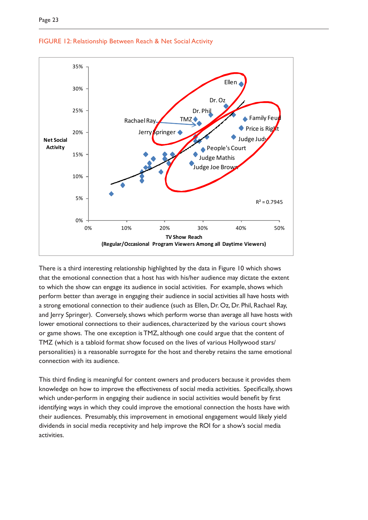

### FIGURE 12: Relationship Between Reach & Net Social Activity

There is a third interesting relationship highlighted by the data in Figure 10 which shows that the emotional connection that a host has with his/her audience may dictate the extent to which the show can engage its audience in social activities. For example, shows which perform better than average in engaging their audience in social activities all have hosts with a strong emotional connection to their audience (such as Ellen, Dr. Oz, Dr. Phil, Rachael Ray, and Jerry Springer). Conversely, shows which perform worse than average all have hosts with lower emotional connections to their audiences, characterized by the various court shows or game shows. The one exception is TMZ, although one could argue that the content of TMZ (which is a tabloid format show focused on the lives of various Hollywood stars/ personalities) is a reasonable surrogate for the host and thereby retains the same emotional connection with its audience.

This third finding is meaningful for content owners and producers because it provides them knowledge on how to improve the effectiveness of social media activities. Specifically, shows which under-perform in engaging their audience in social activities would benefit by first identifying ways in which they could improve the emotional connection the hosts have with their audiences. Presumably, this improvement in emotional engagement would likely yield dividends in social media receptivity and help improve the ROI for a show's social media activities.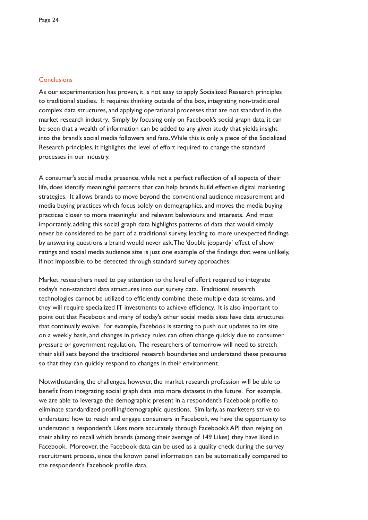### **Conclusions**

As our experimentation has proven, it is not easy to apply Socialized Research principles to traditional studies. It requires thinking outside of the box, integrating non-traditional complex data structures, and applying operational processes that are not standard in the market research industry. Simply by focusing only on Facebook's social graph data, it can be seen that a wealth of information can be added to any given study that yields insight into the brand's social media followers and fans. While this is only a piece of the Socialized Research principles, it highlights the level of effort required to change the standard processes in our industry.

A consumer's social media presence, while not a perfect reflection of all aspects of their life, does identify meaningful patterns that can help brands build effective digital marketing strategies. It allows brands to move beyond the conventional audience measurement and media buying practices which focus solely on demographics, and moves the media buying practices closer to more meaningful and relevant behaviours and interests. And most importantly, adding this social graph data highlights patterns of data that would simply never be considered to be part of a traditional survey, leading to more unexpected findings by answering questions a brand would never ask. The 'double jeopardy' effect of show ratings and social media audience size is just one example of the findings that were unlikely, if not impossible, to be detected through standard survey approaches.

Market researchers need to pay attention to the level of effort required to integrate today's non-standard data structures into our survey data. Traditional research technologies cannot be utilized to efficiently combine these multiple data streams, and they will require specialized IT investments to achieve efficiency. It is also important to point out that Facebook and many of today's other social media sites have data structures that continually evolve. For example, Facebook is starting to push out updates to its site on a weekly basis, and changes in privacy rules can often change quickly due to consumer pressure or government regulation. The researchers of tomorrow will need to stretch their skill sets beyond the traditional research boundaries and understand these pressures so that they can quickly respond to changes in their environment.

Notwithstanding the challenges, however, the market research profession will be able to benefit from integrating social graph data into more datasets in the future. For example, we are able to leverage the demographic present in a respondent's Facebook profile to eliminate standardized profiling/demographic questions. Similarly, as marketers strive to understand how to reach and engage consumers in Facebook, we have the opportunity to understand a respondent's Likes more accurately through Facebook's API than relying on their ability to recall which brands (among their average of 149 Likes) they have liked in Facebook. Moreover, the Facebook data can be used as a quality check during the survey recruitment process, since the known panel information can be automatically compared to the respondent's Facebook profile data.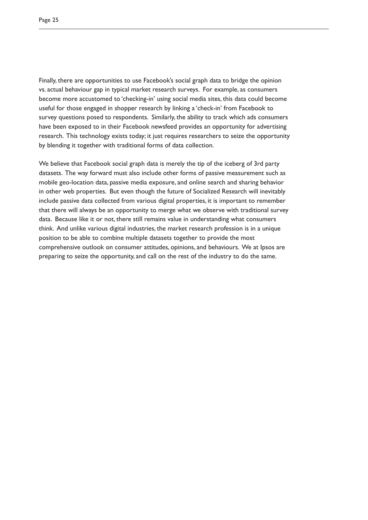Finally, there are opportunities to use Facebook's social graph data to bridge the opinion vs. actual behaviour gap in typical market research surveys. For example, as consumers become more accustomed to 'checking-in' using social media sites, this data could become useful for those engaged in shopper research by linking a 'check-in' from Facebook to survey questions posed to respondents. Similarly, the ability to track which ads consumers have been exposed to in their Facebook newsfeed provides an opportunity for advertising research. This technology exists today; it just requires researchers to seize the opportunity by blending it together with traditional forms of data collection.

We believe that Facebook social graph data is merely the tip of the iceberg of 3rd party datasets. The way forward must also include other forms of passive measurement such as mobile geo-location data, passive media exposure, and online search and sharing behavior in other web properties. But even though the future of Socialized Research will inevitably include passive data collected from various digital properties, it is important to remember that there will always be an opportunity to merge what we observe with traditional survey data. Because like it or not, there still remains value in understanding what consumers think. And unlike various digital industries, the market research profession is in a unique position to be able to combine multiple datasets together to provide the most comprehensive outlook on consumer attitudes, opinions, and behaviours. We at Ipsos are preparing to seize the opportunity, and call on the rest of the industry to do the same.